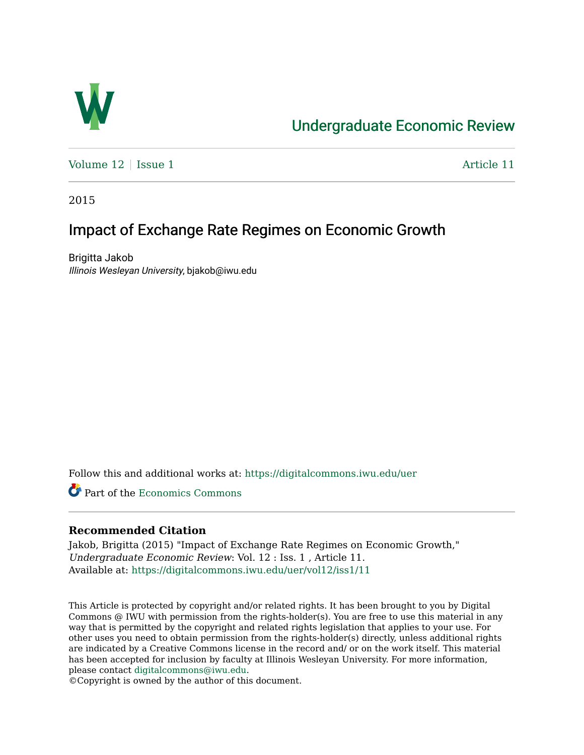

# [Undergraduate Economic Review](https://digitalcommons.iwu.edu/uer)

Volume  $12 \mid$  [Issue 1](https://digitalcommons.iwu.edu/uer/vol12/iss1)  $\blacksquare$ 

2015

# Impact of Exchange Rate Regimes on Economic Growth

Brigitta Jakob Illinois Wesleyan University, bjakob@iwu.edu

Follow this and additional works at: [https://digitalcommons.iwu.edu/uer](https://digitalcommons.iwu.edu/uer?utm_source=digitalcommons.iwu.edu%2Fuer%2Fvol12%2Fiss1%2F11&utm_medium=PDF&utm_campaign=PDFCoverPages)

Part of the [Economics Commons](http://network.bepress.com/hgg/discipline/340?utm_source=digitalcommons.iwu.edu%2Fuer%2Fvol12%2Fiss1%2F11&utm_medium=PDF&utm_campaign=PDFCoverPages) 

## **Recommended Citation**

Jakob, Brigitta (2015) "Impact of Exchange Rate Regimes on Economic Growth," Undergraduate Economic Review: Vol. 12 : Iss. 1 , Article 11. Available at: [https://digitalcommons.iwu.edu/uer/vol12/iss1/11](https://digitalcommons.iwu.edu/uer/vol12/iss1/11?utm_source=digitalcommons.iwu.edu%2Fuer%2Fvol12%2Fiss1%2F11&utm_medium=PDF&utm_campaign=PDFCoverPages) 

This Article is protected by copyright and/or related rights. It has been brought to you by Digital Commons @ IWU with permission from the rights-holder(s). You are free to use this material in any way that is permitted by the copyright and related rights legislation that applies to your use. For other uses you need to obtain permission from the rights-holder(s) directly, unless additional rights are indicated by a Creative Commons license in the record and/ or on the work itself. This material has been accepted for inclusion by faculty at Illinois Wesleyan University. For more information, please contact [digitalcommons@iwu.edu.](mailto:digitalcommons@iwu.edu)

©Copyright is owned by the author of this document.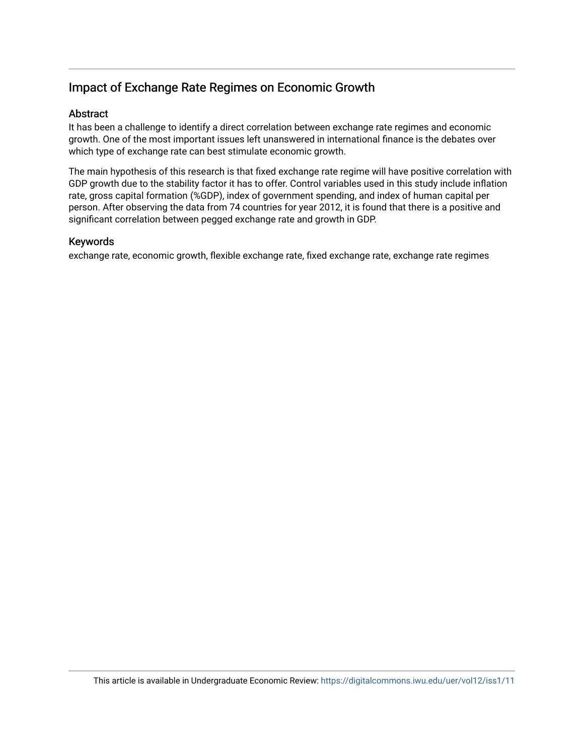# Impact of Exchange Rate Regimes on Economic Growth

### Abstract

It has been a challenge to identify a direct correlation between exchange rate regimes and economic growth. One of the most important issues left unanswered in international finance is the debates over which type of exchange rate can best stimulate economic growth.

The main hypothesis of this research is that fixed exchange rate regime will have positive correlation with GDP growth due to the stability factor it has to offer. Control variables used in this study include inflation rate, gross capital formation (%GDP), index of government spending, and index of human capital per person. After observing the data from 74 countries for year 2012, it is found that there is a positive and significant correlation between pegged exchange rate and growth in GDP.

#### Keywords

exchange rate, economic growth, flexible exchange rate, fixed exchange rate, exchange rate regimes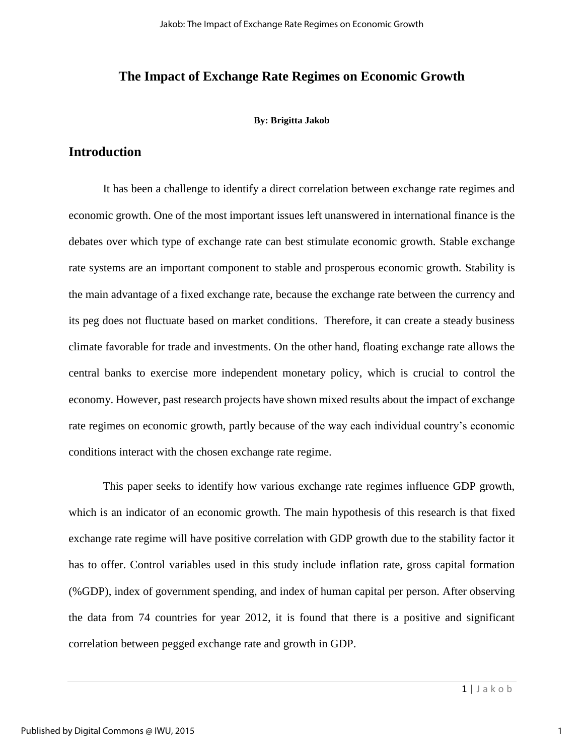### **The Impact of Exchange Rate Regimes on Economic Growth**

#### **By: Brigitta Jakob**

## **Introduction**

It has been a challenge to identify a direct correlation between exchange rate regimes and economic growth. One of the most important issues left unanswered in international finance is the debates over which type of exchange rate can best stimulate economic growth. Stable exchange rate systems are an important component to stable and prosperous economic growth. Stability is the main advantage of a fixed exchange rate, because the exchange rate between the currency and its peg does not fluctuate based on market conditions. Therefore, it can create a steady business climate favorable for trade and investments. On the other hand, floating exchange rate allows the central banks to exercise more independent monetary policy, which is crucial to control the economy. However, past research projects have shown mixed results about the impact of exchange rate regimes on economic growth, partly because of the way each individual country's economic conditions interact with the chosen exchange rate regime.

This paper seeks to identify how various exchange rate regimes influence GDP growth, which is an indicator of an economic growth. The main hypothesis of this research is that fixed exchange rate regime will have positive correlation with GDP growth due to the stability factor it has to offer. Control variables used in this study include inflation rate, gross capital formation (%GDP), index of government spending, and index of human capital per person. After observing the data from 74 countries for year 2012, it is found that there is a positive and significant correlation between pegged exchange rate and growth in GDP.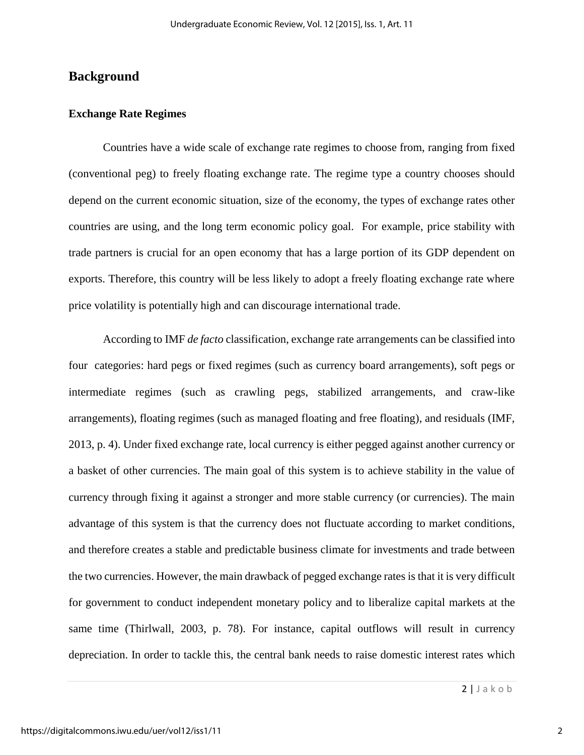## **Background**

### **Exchange Rate Regimes**

 Countries have a wide scale of exchange rate regimes to choose from, ranging from fixed (conventional peg) to freely floating exchange rate. The regime type a country chooses should depend on the current economic situation, size of the economy, the types of exchange rates other countries are using, and the long term economic policy goal. For example, price stability with trade partners is crucial for an open economy that has a large portion of its GDP dependent on exports. Therefore, this country will be less likely to adopt a freely floating exchange rate where price volatility is potentially high and can discourage international trade.

 According to IMF *de facto* classification, exchange rate arrangements can be classified into four categories: hard pegs or fixed regimes (such as currency board arrangements), soft pegs or intermediate regimes (such as crawling pegs, stabilized arrangements, and craw-like arrangements), floating regimes (such as managed floating and free floating), and residuals (IMF, 2013, p. 4). Under fixed exchange rate, local currency is either pegged against another currency or a basket of other currencies. The main goal of this system is to achieve stability in the value of currency through fixing it against a stronger and more stable currency (or currencies). The main advantage of this system is that the currency does not fluctuate according to market conditions, and therefore creates a stable and predictable business climate for investments and trade between the two currencies. However, the main drawback of pegged exchange rates is that it is very difficult for government to conduct independent monetary policy and to liberalize capital markets at the same time (Thirlwall, 2003, p. 78). For instance, capital outflows will result in currency depreciation. In order to tackle this, the central bank needs to raise domestic interest rates which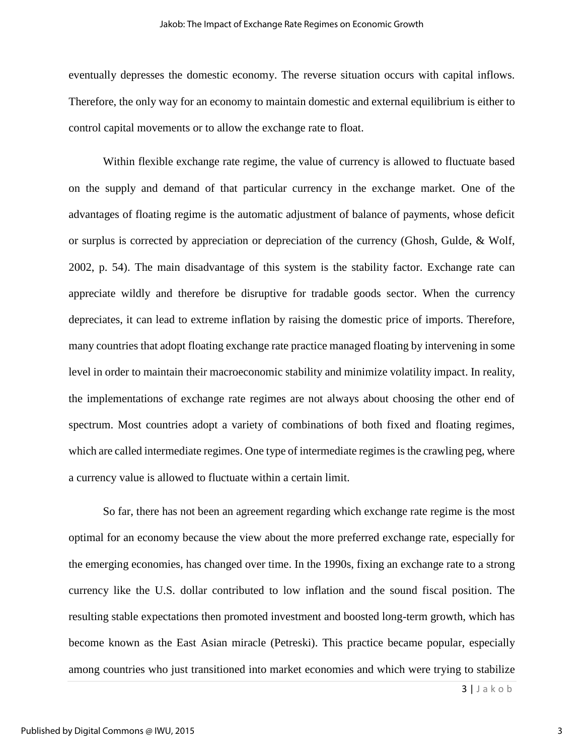eventually depresses the domestic economy. The reverse situation occurs with capital inflows. Therefore, the only way for an economy to maintain domestic and external equilibrium is either to control capital movements or to allow the exchange rate to float.

 Within flexible exchange rate regime, the value of currency is allowed to fluctuate based on the supply and demand of that particular currency in the exchange market. One of the advantages of floating regime is the automatic adjustment of balance of payments, whose deficit or surplus is corrected by appreciation or depreciation of the currency (Ghosh, Gulde, & Wolf, 2002, p. 54). The main disadvantage of this system is the stability factor. Exchange rate can appreciate wildly and therefore be disruptive for tradable goods sector. When the currency depreciates, it can lead to extreme inflation by raising the domestic price of imports. Therefore, many countries that adopt floating exchange rate practice managed floating by intervening in some level in order to maintain their macroeconomic stability and minimize volatility impact. In reality, the implementations of exchange rate regimes are not always about choosing the other end of spectrum. Most countries adopt a variety of combinations of both fixed and floating regimes, which are called intermediate regimes. One type of intermediate regimes is the crawling peg, where a currency value is allowed to fluctuate within a certain limit.

So far, there has not been an agreement regarding which exchange rate regime is the most optimal for an economy because the view about the more preferred exchange rate, especially for the emerging economies, has changed over time. In the 1990s, fixing an exchange rate to a strong currency like the U.S. dollar contributed to low inflation and the sound fiscal position. The resulting stable expectations then promoted investment and boosted long-term growth, which has become known as the East Asian miracle (Petreski). This practice became popular, especially among countries who just transitioned into market economies and which were trying to stabilize

3 | J a k o b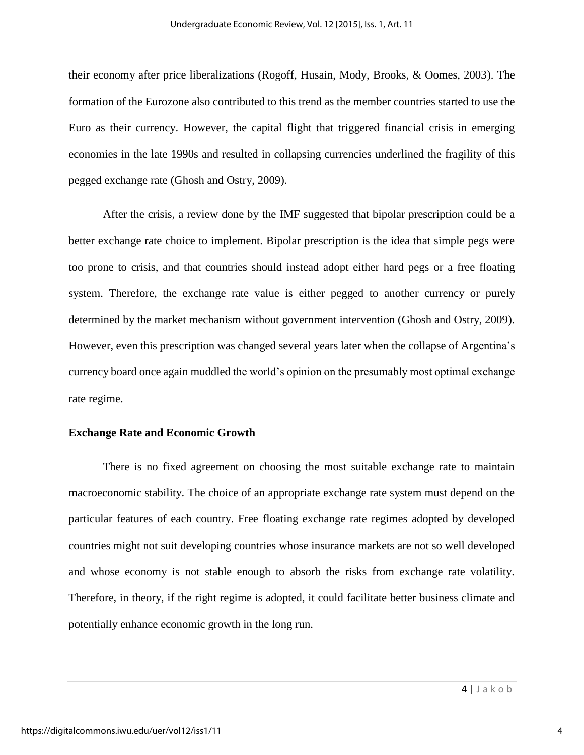their economy after price liberalizations (Rogoff, Husain, Mody, Brooks, & Oomes, 2003). The formation of the Eurozone also contributed to this trend as the member countries started to use the Euro as their currency. However, the capital flight that triggered financial crisis in emerging economies in the late 1990s and resulted in collapsing currencies underlined the fragility of this pegged exchange rate (Ghosh and Ostry, 2009).

After the crisis, a review done by the IMF suggested that bipolar prescription could be a better exchange rate choice to implement. Bipolar prescription is the idea that simple pegs were too prone to crisis, and that countries should instead adopt either hard pegs or a free floating system. Therefore, the exchange rate value is either pegged to another currency or purely determined by the market mechanism without government intervention (Ghosh and Ostry, 2009). However, even this prescription was changed several years later when the collapse of Argentina's currency board once again muddled the world's opinion on the presumably most optimal exchange rate regime.

#### **Exchange Rate and Economic Growth**

 There is no fixed agreement on choosing the most suitable exchange rate to maintain macroeconomic stability. The choice of an appropriate exchange rate system must depend on the particular features of each country. Free floating exchange rate regimes adopted by developed countries might not suit developing countries whose insurance markets are not so well developed and whose economy is not stable enough to absorb the risks from exchange rate volatility. Therefore, in theory, if the right regime is adopted, it could facilitate better business climate and potentially enhance economic growth in the long run.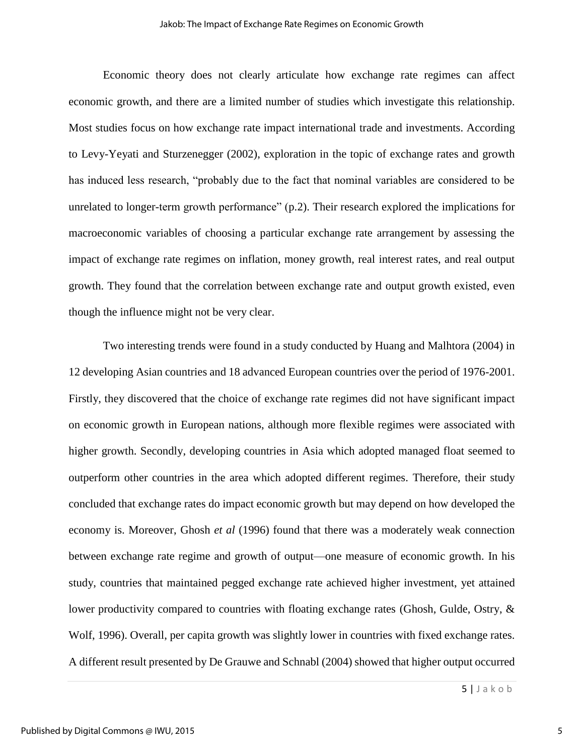Economic theory does not clearly articulate how exchange rate regimes can affect economic growth, and there are a limited number of studies which investigate this relationship. Most studies focus on how exchange rate impact international trade and investments. According to Levy-Yeyati and Sturzenegger (2002), exploration in the topic of exchange rates and growth has induced less research, "probably due to the fact that nominal variables are considered to be unrelated to longer-term growth performance" (p.2). Their research explored the implications for macroeconomic variables of choosing a particular exchange rate arrangement by assessing the impact of exchange rate regimes on inflation, money growth, real interest rates, and real output growth. They found that the correlation between exchange rate and output growth existed, even though the influence might not be very clear.

Two interesting trends were found in a study conducted by Huang and Malhtora (2004) in 12 developing Asian countries and 18 advanced European countries over the period of 1976-2001. Firstly, they discovered that the choice of exchange rate regimes did not have significant impact on economic growth in European nations, although more flexible regimes were associated with higher growth. Secondly, developing countries in Asia which adopted managed float seemed to outperform other countries in the area which adopted different regimes. Therefore, their study concluded that exchange rates do impact economic growth but may depend on how developed the economy is. Moreover, Ghosh *et al* (1996) found that there was a moderately weak connection between exchange rate regime and growth of output—one measure of economic growth. In his study, countries that maintained pegged exchange rate achieved higher investment, yet attained lower productivity compared to countries with floating exchange rates (Ghosh, Gulde, Ostry, & Wolf, 1996). Overall, per capita growth was slightly lower in countries with fixed exchange rates. A different result presented by De Grauwe and Schnabl (2004) showed that higher output occurred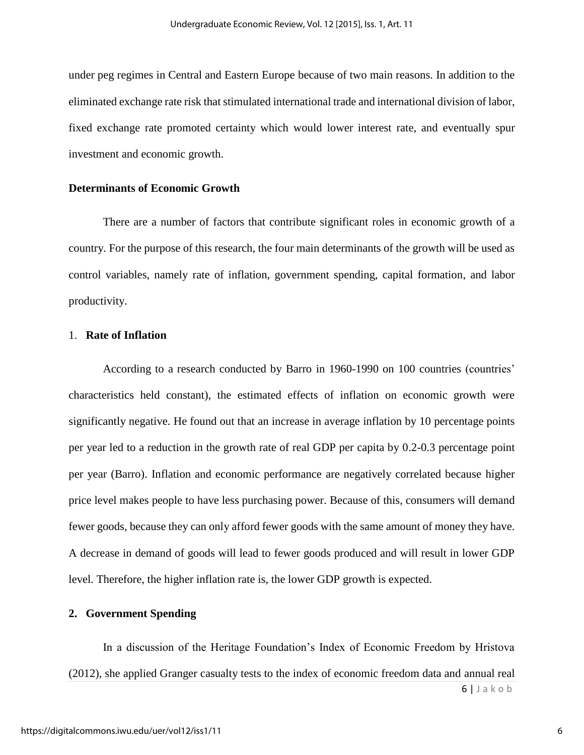under peg regimes in Central and Eastern Europe because of two main reasons. In addition to the eliminated exchange rate risk that stimulated international trade and international division of labor, fixed exchange rate promoted certainty which would lower interest rate, and eventually spur investment and economic growth.

### **Determinants of Economic Growth**

There are a number of factors that contribute significant roles in economic growth of a country. For the purpose of this research, the four main determinants of the growth will be used as control variables, namely rate of inflation, government spending, capital formation, and labor productivity.

#### 1. **Rate of Inflation**

According to a research conducted by Barro in 1960-1990 on 100 countries (countries' characteristics held constant), the estimated effects of inflation on economic growth were significantly negative. He found out that an increase in average inflation by 10 percentage points per year led to a reduction in the growth rate of real GDP per capita by 0.2-0.3 percentage point per year (Barro). Inflation and economic performance are negatively correlated because higher price level makes people to have less purchasing power. Because of this, consumers will demand fewer goods, because they can only afford fewer goods with the same amount of money they have. A decrease in demand of goods will lead to fewer goods produced and will result in lower GDP level. Therefore, the higher inflation rate is, the lower GDP growth is expected.

#### **2. Government Spending**

6 | J a k o b In a discussion of the Heritage Foundation's Index of Economic Freedom by Hristova (2012), she applied Granger casualty tests to the index of economic freedom data and annual real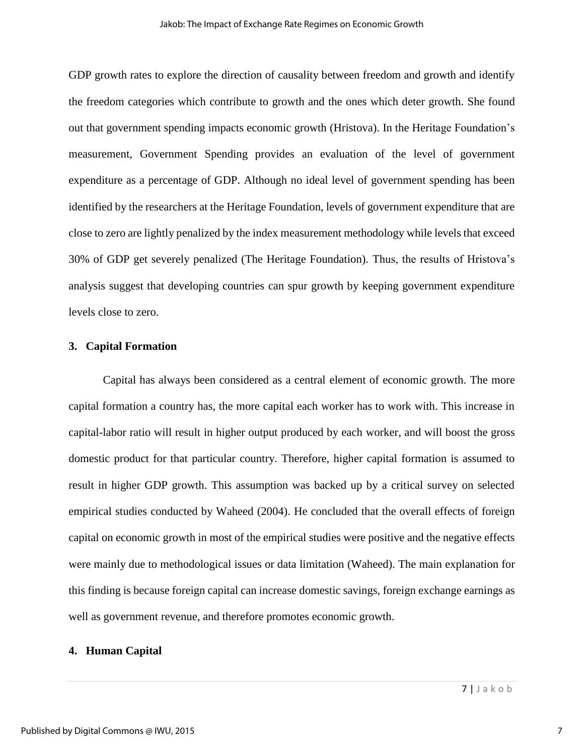GDP growth rates to explore the direction of causality between freedom and growth and identify the freedom categories which contribute to growth and the ones which deter growth. She found out that government spending impacts economic growth (Hristova). In the Heritage Foundation's measurement, Government Spending provides an evaluation of the level of government expenditure as a percentage of GDP. Although no ideal level of government spending has been identified by the researchers at the Heritage Foundation, levels of government expenditure that are close to zero are lightly penalized by the index measurement methodology while levels that exceed 30% of GDP get severely penalized (The Heritage Foundation). Thus, the results of Hristova's analysis suggest that developing countries can spur growth by keeping government expenditure levels close to zero.

#### **3. Capital Formation**

Capital has always been considered as a central element of economic growth. The more capital formation a country has, the more capital each worker has to work with. This increase in capital-labor ratio will result in higher output produced by each worker, and will boost the gross domestic product for that particular country. Therefore, higher capital formation is assumed to result in higher GDP growth. This assumption was backed up by a critical survey on selected empirical studies conducted by Waheed (2004). He concluded that the overall effects of foreign capital on economic growth in most of the empirical studies were positive and the negative effects were mainly due to methodological issues or data limitation (Waheed). The main explanation for this finding is because foreign capital can increase domestic savings, foreign exchange earnings as well as government revenue, and therefore promotes economic growth.

#### **4. Human Capital**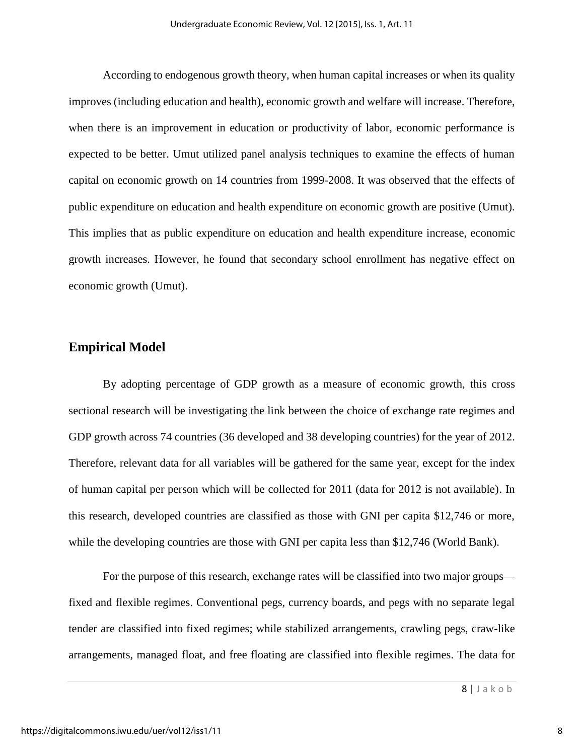According to endogenous growth theory, when human capital increases or when its quality improves (including education and health), economic growth and welfare will increase. Therefore, when there is an improvement in education or productivity of labor, economic performance is expected to be better. Umut utilized panel analysis techniques to examine the effects of human capital on economic growth on 14 countries from 1999-2008. It was observed that the effects of public expenditure on education and health expenditure on economic growth are positive (Umut). This implies that as public expenditure on education and health expenditure increase, economic growth increases. However, he found that secondary school enrollment has negative effect on economic growth (Umut).

## **Empirical Model**

 By adopting percentage of GDP growth as a measure of economic growth, this cross sectional research will be investigating the link between the choice of exchange rate regimes and GDP growth across 74 countries (36 developed and 38 developing countries) for the year of 2012. Therefore, relevant data for all variables will be gathered for the same year, except for the index of human capital per person which will be collected for 2011 (data for 2012 is not available). In this research, developed countries are classified as those with GNI per capita \$12,746 or more, while the developing countries are those with GNI per capita less than \$12,746 (World Bank).

For the purpose of this research, exchange rates will be classified into two major groups fixed and flexible regimes. Conventional pegs, currency boards, and pegs with no separate legal tender are classified into fixed regimes; while stabilized arrangements, crawling pegs, craw-like arrangements, managed float, and free floating are classified into flexible regimes. The data for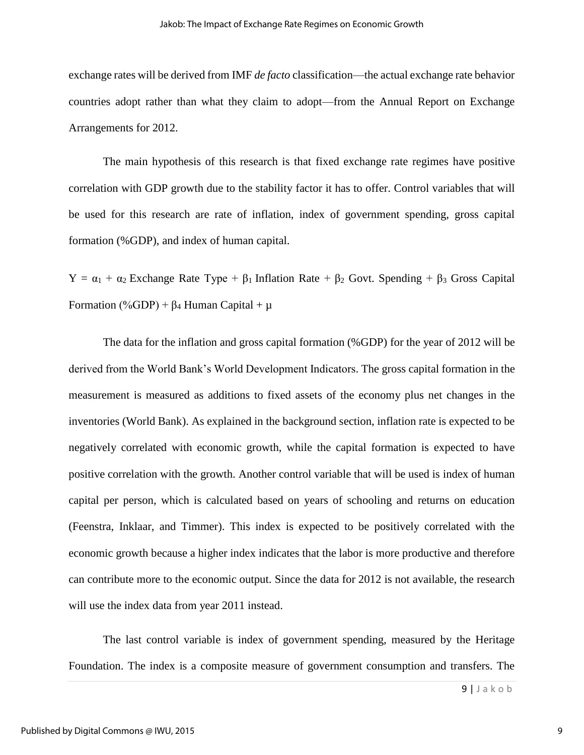exchange rates will be derived from IMF *de facto* classification—the actual exchange rate behavior countries adopt rather than what they claim to adopt—from the Annual Report on Exchange Arrangements for 2012.

 The main hypothesis of this research is that fixed exchange rate regimes have positive correlation with GDP growth due to the stability factor it has to offer. Control variables that will be used for this research are rate of inflation, index of government spending, gross capital formation (%GDP), and index of human capital.

 $Y = \alpha_1 + \alpha_2$  Exchange Rate Type +  $\beta_1$  Inflation Rate +  $\beta_2$  Govt. Spending +  $\beta_3$  Gross Capital Formation (%GDP) +  $\beta_4$  Human Capital +  $\mu$ 

The data for the inflation and gross capital formation (%GDP) for the year of 2012 will be derived from the World Bank's World Development Indicators. The gross capital formation in the measurement is measured as additions to fixed assets of the economy plus net changes in the inventories (World Bank). As explained in the background section, inflation rate is expected to be negatively correlated with economic growth, while the capital formation is expected to have positive correlation with the growth. Another control variable that will be used is index of human capital per person, which is calculated based on years of schooling and returns on education (Feenstra, Inklaar, and Timmer). This index is expected to be positively correlated with the economic growth because a higher index indicates that the labor is more productive and therefore can contribute more to the economic output. Since the data for 2012 is not available, the research will use the index data from year 2011 instead.

The last control variable is index of government spending, measured by the Heritage Foundation. The index is a composite measure of government consumption and transfers. The

9 | J a k o b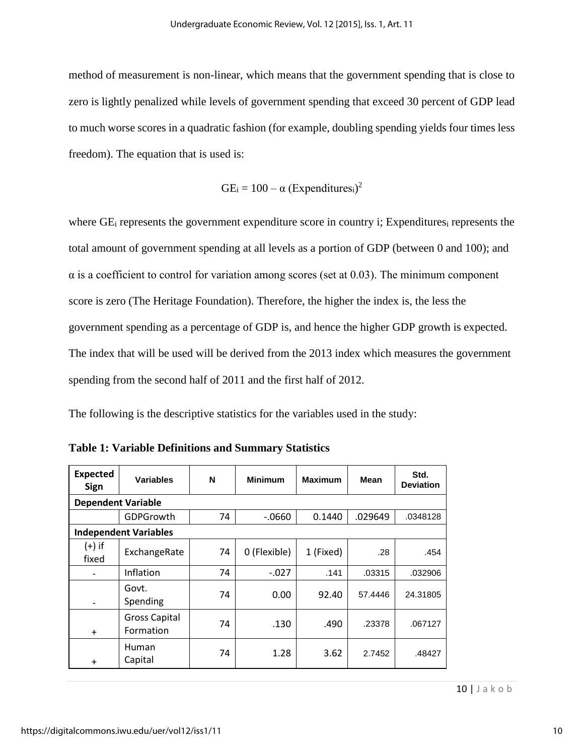method of measurement is non-linear, which means that the government spending that is close to zero is lightly penalized while levels of government spending that exceed 30 percent of GDP lead to much worse scores in a quadratic fashion (for example, doubling spending yields four times less freedom). The equation that is used is:

$$
GE_i = 100 - \alpha (Expenditures_i)^2
$$

where GE<sub>i</sub> represents the government expenditure score in country i; Expenditures<sub>i</sub> represents the total amount of government spending at all levels as a portion of GDP (between 0 and 100); and  $\alpha$  is a coefficient to control for variation among scores (set at 0.03). The minimum component score is zero (The Heritage Foundation). Therefore, the higher the index is, the less the government spending as a percentage of GDP is, and hence the higher GDP growth is expected. The index that will be used will be derived from the 2013 index which measures the government spending from the second half of 2011 and the first half of 2012.

The following is the descriptive statistics for the variables used in the study:

| <b>Expected</b><br><b>Sign</b> | <b>Variables</b>                  | N  | <b>Minimum</b> | <b>Maximum</b> | Mean    | Std.<br><b>Deviation</b> |  |  |  |
|--------------------------------|-----------------------------------|----|----------------|----------------|---------|--------------------------|--|--|--|
|                                | <b>Dependent Variable</b>         |    |                |                |         |                          |  |  |  |
|                                | GDPGrowth                         | 74 | $-0660$        | 0.1440         | .029649 | .0348128                 |  |  |  |
|                                | <b>Independent Variables</b>      |    |                |                |         |                          |  |  |  |
| $(+)$ if<br>fixed              | ExchangeRate                      | 74 | 0 (Flexible)   | 1 (Fixed)      | .28     | .454                     |  |  |  |
|                                | Inflation                         | 74 | $-.027$        | .141           | .03315  | .032906                  |  |  |  |
| $\qquad \qquad$                | Govt.<br>Spending                 | 74 | 0.00           | 92.40          | 57.4446 | 24.31805                 |  |  |  |
| $+$                            | <b>Gross Capital</b><br>Formation | 74 | .130           | .490           | .23378  | .067127                  |  |  |  |
| $\ddot{}$                      | Human<br>Capital                  | 74 | 1.28           | 3.62           | 2.7452  | .48427                   |  |  |  |

**Table 1: Variable Definitions and Summary Statistics**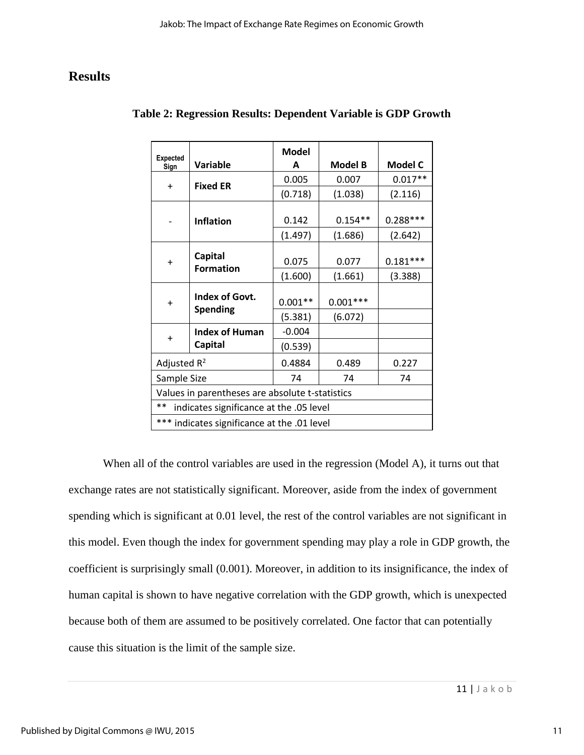# **Results**

| <b>Expected</b><br>Sign                         | Variable                                    | <b>Model</b><br>A | <b>Model B</b> | Model C    |
|-------------------------------------------------|---------------------------------------------|-------------------|----------------|------------|
|                                                 |                                             | 0.005             | 0.007          | $0.017**$  |
| $+$                                             | <b>Fixed ER</b>                             | (0.718)           | (1.038)        | (2.116)    |
|                                                 | <b>Inflation</b>                            | 0.142             | $0.154**$      | $0.288***$ |
|                                                 |                                             | (1.497)           | (1.686)        | (2.642)    |
| $\ddot{}$                                       | <b>Capital</b>                              | 0.075             | 0.077          | $0.181***$ |
|                                                 | <b>Formation</b>                            | (1.600)           | (1.661)        | (3.388)    |
| $\ddot{}$                                       | Index of Govt.                              | $0.001**$         | $0.001***$     |            |
|                                                 | <b>Spending</b>                             | (5.381)           | (6.072)        |            |
|                                                 | <b>Index of Human</b>                       | $-0.004$          |                |            |
| $\ddot{}$                                       | <b>Capital</b>                              | (0.539)           |                |            |
| Adjusted $R^2$                                  |                                             | 0.4884            | 0.489          | 0.227      |
| Sample Size                                     |                                             | 74                | 74             | 74         |
| Values in parentheses are absolute t-statistics |                                             |                   |                |            |
| **                                              | indicates significance at the .05 level     |                   |                |            |
|                                                 | *** indicates significance at the .01 level |                   |                |            |

## **Table 2: Regression Results: Dependent Variable is GDP Growth**

When all of the control variables are used in the regression (Model A), it turns out that exchange rates are not statistically significant. Moreover, aside from the index of government spending which is significant at 0.01 level, the rest of the control variables are not significant in this model. Even though the index for government spending may play a role in GDP growth, the coefficient is surprisingly small (0.001). Moreover, in addition to its insignificance, the index of human capital is shown to have negative correlation with the GDP growth, which is unexpected because both of them are assumed to be positively correlated. One factor that can potentially cause this situation is the limit of the sample size.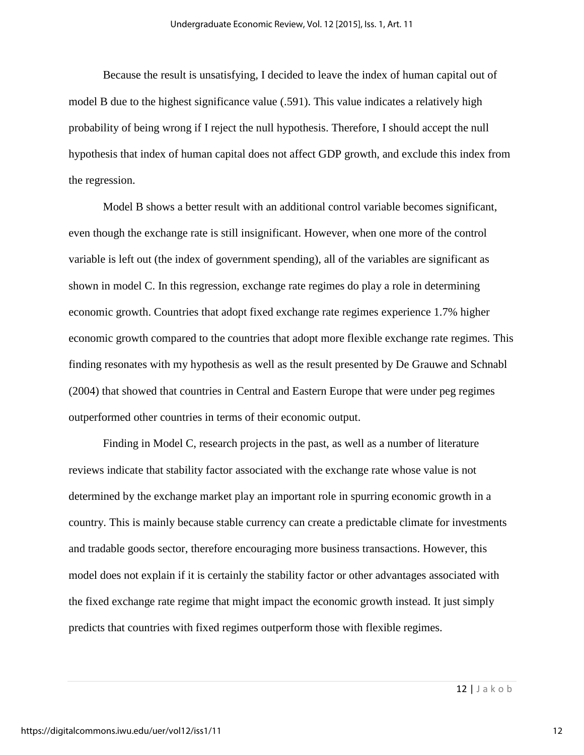Because the result is unsatisfying, I decided to leave the index of human capital out of model B due to the highest significance value (.591). This value indicates a relatively high probability of being wrong if I reject the null hypothesis. Therefore, I should accept the null hypothesis that index of human capital does not affect GDP growth, and exclude this index from the regression.

Model B shows a better result with an additional control variable becomes significant, even though the exchange rate is still insignificant. However, when one more of the control variable is left out (the index of government spending), all of the variables are significant as shown in model C. In this regression, exchange rate regimes do play a role in determining economic growth. Countries that adopt fixed exchange rate regimes experience 1.7% higher economic growth compared to the countries that adopt more flexible exchange rate regimes. This finding resonates with my hypothesis as well as the result presented by De Grauwe and Schnabl (2004) that showed that countries in Central and Eastern Europe that were under peg regimes outperformed other countries in terms of their economic output.

Finding in Model C, research projects in the past, as well as a number of literature reviews indicate that stability factor associated with the exchange rate whose value is not determined by the exchange market play an important role in spurring economic growth in a country. This is mainly because stable currency can create a predictable climate for investments and tradable goods sector, therefore encouraging more business transactions. However, this model does not explain if it is certainly the stability factor or other advantages associated with the fixed exchange rate regime that might impact the economic growth instead. It just simply predicts that countries with fixed regimes outperform those with flexible regimes.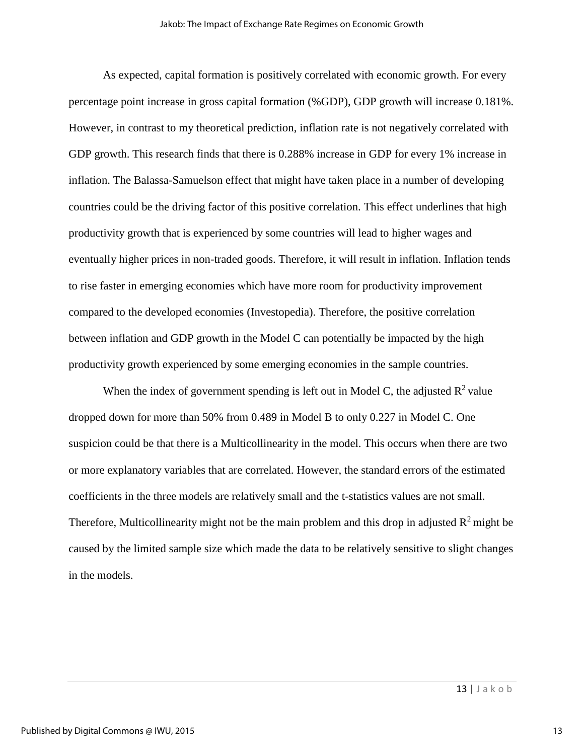As expected, capital formation is positively correlated with economic growth. For every percentage point increase in gross capital formation (%GDP), GDP growth will increase 0.181%. However, in contrast to my theoretical prediction, inflation rate is not negatively correlated with GDP growth. This research finds that there is 0.288% increase in GDP for every 1% increase in inflation. The Balassa-Samuelson effect that might have taken place in a number of developing countries could be the driving factor of this positive correlation. This effect underlines that high productivity growth that is experienced by some countries will lead to higher wages and eventually higher prices in non-traded goods. Therefore, it will result in inflation. Inflation tends to rise faster in emerging economies which have more room for productivity improvement compared to the developed economies (Investopedia). Therefore, the positive correlation between inflation and GDP growth in the Model C can potentially be impacted by the high productivity growth experienced by some emerging economies in the sample countries.

When the index of government spending is left out in Model C, the adjusted  $\mathbb{R}^2$  value dropped down for more than 50% from 0.489 in Model B to only 0.227 in Model C. One suspicion could be that there is a Multicollinearity in the model. This occurs when there are two or more explanatory variables that are correlated. However, the standard errors of the estimated coefficients in the three models are relatively small and the t-statistics values are not small. Therefore, Multicollinearity might not be the main problem and this drop in adjusted  $\mathbb{R}^2$  might be caused by the limited sample size which made the data to be relatively sensitive to slight changes in the models.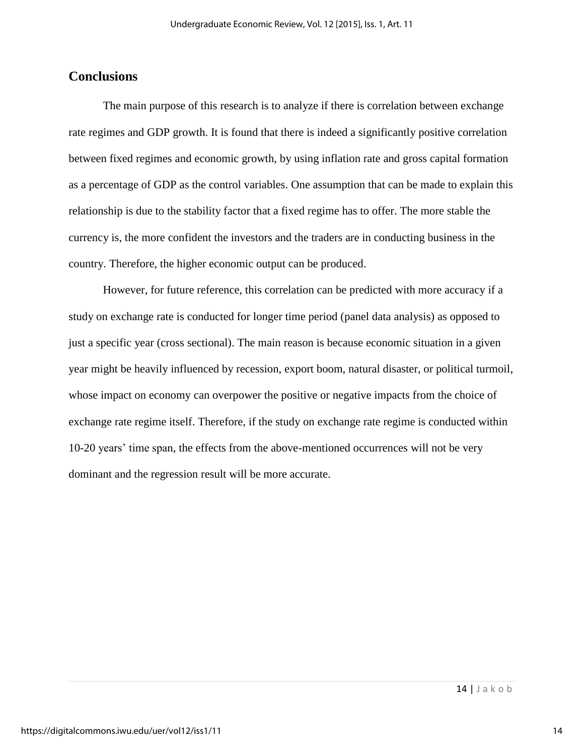## **Conclusions**

The main purpose of this research is to analyze if there is correlation between exchange rate regimes and GDP growth. It is found that there is indeed a significantly positive correlation between fixed regimes and economic growth, by using inflation rate and gross capital formation as a percentage of GDP as the control variables. One assumption that can be made to explain this relationship is due to the stability factor that a fixed regime has to offer. The more stable the currency is, the more confident the investors and the traders are in conducting business in the country. Therefore, the higher economic output can be produced.

However, for future reference, this correlation can be predicted with more accuracy if a study on exchange rate is conducted for longer time period (panel data analysis) as opposed to just a specific year (cross sectional). The main reason is because economic situation in a given year might be heavily influenced by recession, export boom, natural disaster, or political turmoil, whose impact on economy can overpower the positive or negative impacts from the choice of exchange rate regime itself. Therefore, if the study on exchange rate regime is conducted within 10-20 years' time span, the effects from the above-mentioned occurrences will not be very dominant and the regression result will be more accurate.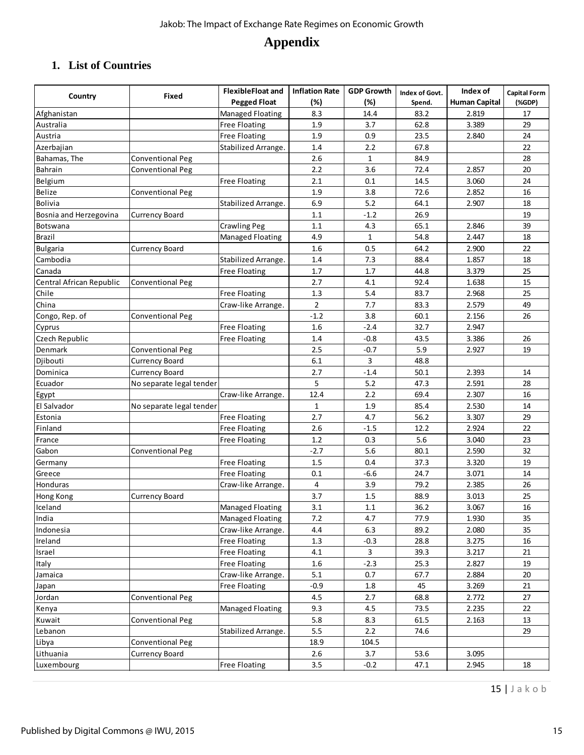# **Appendix**

# **1. List of Countries**

|                          | Fixed                    | <b>FlexibleFloat and</b> | <b>Inflation Rate</b> | <b>GDP Growth</b> | Index of Govt. | Index of             | <b>Capital Form</b> |
|--------------------------|--------------------------|--------------------------|-----------------------|-------------------|----------------|----------------------|---------------------|
| Country                  |                          | <b>Pegged Float</b>      | (%)                   | (%)               | Spend.         | <b>Human Capital</b> | (%                  |
| Afghanistan              |                          | Managed Floating         | 8.3                   | 14.4              | 83.2           | 2.819                | 17                  |
| Australia                |                          | <b>Free Floating</b>     | 1.9                   | 3.7               | 62.8           | 3.389                | 29                  |
| Austria                  |                          | <b>Free Floating</b>     | 1.9                   | 0.9               | 23.5           | 2.840                | 24                  |
| Azerbajian               |                          | Stabilized Arrange.      | 1.4                   | 2.2               | 67.8           |                      | 22                  |
| Bahamas, The             | <b>Conventional Peg</b>  |                          | 2.6                   | $\mathbf{1}$      | 84.9           |                      | 28                  |
| Bahrain                  | <b>Conventional Peg</b>  |                          | 2.2                   | 3.6               | 72.4           | 2.857                | 20                  |
| Belgium                  |                          | <b>Free Floating</b>     | 2.1                   | 0.1               | 14.5           | 3.060                | 24                  |
| Belize                   | <b>Conventional Peg</b>  |                          | 1.9                   | 3.8               | 72.6           | 2.852                | 16                  |
| Bolivia                  |                          | Stabilized Arrange.      | 6.9                   | 5.2               | 64.1           | 2.907                | 18                  |
| Bosnia and Herzegovina   | <b>Currency Board</b>    |                          | 1.1                   | $-1.2$            | 26.9           |                      | 19                  |
| Botswana                 |                          | <b>Crawling Peg</b>      | 1.1                   | 4.3               | 65.1           | 2.846                | 39                  |
| Brazil                   |                          | Managed Floating         | 4.9                   | $\mathbf{1}$      | 54.8           | 2.447                | 18                  |
| <b>Bulgaria</b>          | <b>Currency Board</b>    |                          | 1.6                   | 0.5               | 64.2           | 2.900                | 22                  |
| Cambodia                 |                          | Stabilized Arrange.      | 1.4                   | 7.3               | 88.4           | 1.857                | 18                  |
| Canada                   |                          | <b>Free Floating</b>     | 1.7                   | 1.7               | 44.8           | 3.379                | 25                  |
| Central African Republic | <b>Conventional Peg</b>  |                          | 2.7                   | 4.1               | 92.4           | 1.638                | 15                  |
| Chile                    |                          | <b>Free Floating</b>     | 1.3                   | 5.4               | 83.7           | 2.968                | 25                  |
| China                    |                          | Craw-like Arrange.       | $\overline{2}$        | 7.7               | 83.3           | 2.579                | 49                  |
| Congo, Rep. of           | <b>Conventional Peg</b>  |                          | $-1.2$                | 3.8               | 60.1           | 2.156                | 26                  |
| Cyprus                   |                          | <b>Free Floating</b>     | 1.6                   | $-2.4$            | 32.7           | 2.947                |                     |
| Czech Republic           |                          | <b>Free Floating</b>     | 1.4                   | $-0.8$            | 43.5           | 3.386                | 26                  |
| Denmark                  | <b>Conventional Peg</b>  |                          | 2.5                   | $-0.7$            | 5.9            | 2.927                | 19                  |
| Djibouti                 | <b>Currency Board</b>    |                          | 6.1                   | 3                 | 48.8           |                      |                     |
| Dominica                 | <b>Currency Board</b>    |                          | 2.7                   | $-1.4$            | 50.1           | 2.393                | 14                  |
| Ecuador                  | No separate legal tender |                          | 5                     | 5.2               | 47.3           | 2.591                | 28                  |
| Egypt                    |                          | Craw-like Arrange.       | 12.4                  | 2.2               | 69.4           | 2.307                | 16                  |
| El Salvador              | No separate legal tender |                          | 1                     | 1.9               | 85.4           | 2.530                | 14                  |
| Estonia                  |                          | <b>Free Floating</b>     | 2.7                   | 4.7               | 56.2           | 3.307                | 29                  |
| Finland                  |                          | <b>Free Floating</b>     | 2.6                   | $-1.5$            | 12.2           | 2.924                | 22                  |
| France                   |                          | <b>Free Floating</b>     | 1.2                   | 0.3               | 5.6            | 3.040                | 23                  |
| Gabon                    | <b>Conventional Peg</b>  |                          | -2.7                  | 5.6               | 80.1           | 2.590                | 32                  |
| Germany                  |                          | <b>Free Floating</b>     | 1.5                   | 0.4               | 37.3           | 3.320                | 19                  |
| Greece                   |                          | <b>Free Floating</b>     | 0.1                   | $-6.6$            | 24.7           | 3.071                | 14                  |
| Honduras                 |                          | Craw-like Arrange.       | $\overline{4}$        | 3.9               | 79.2           | 2.385                | $26\,$              |
| Hong Kong                | <b>Currency Board</b>    |                          | 3.7                   | 1.5               | 88.9           | 3.013                | 25                  |
| Iceland                  |                          | Managed Floating         | 3.1                   | 1.1               | 36.2           | 3.067                | 16                  |
| India                    |                          | Managed Floating         | 7.2                   | 4.7               | 77.9           | 1.930                | 35                  |
| Indonesia                |                          | Craw-like Arrange.       | 4.4                   | 6.3               | 89.2           | 2.080                | 35                  |
| Ireland                  |                          | <b>Free Floating</b>     | $1.3\,$               | $-0.3$            | 28.8           | 3.275                | 16                  |
| Israel                   |                          | <b>Free Floating</b>     | 4.1                   | 3                 | 39.3           | 3.217                | 21                  |
| Italy                    |                          | <b>Free Floating</b>     | 1.6                   | $-2.3$            | 25.3           | 2.827                | 19                  |
| Jamaica                  |                          | Craw-like Arrange.       | 5.1                   | 0.7               | 67.7           | 2.884                | 20                  |
| Japan                    |                          | <b>Free Floating</b>     | $-0.9$                | 1.8               | 45             | 3.269                | 21                  |
| Jordan                   | Conventional Peg         |                          | 4.5                   | 2.7               | 68.8           | 2.772                | 27                  |
| Kenya                    |                          | Managed Floating         | 9.3                   | 4.5               | 73.5           | 2.235                | 22                  |
| Kuwait                   | Conventional Peg         |                          | 5.8                   | 8.3               | 61.5           | 2.163                | 13                  |
| Lebanon                  |                          | Stabilized Arrange.      | 5.5                   | 2.2               | 74.6           |                      | 29                  |
| Libya                    | Conventional Peg         |                          | 18.9                  | 104.5             |                |                      |                     |
| Lithuania                | <b>Currency Board</b>    |                          | 2.6                   | 3.7               | 53.6           | 3.095                |                     |
| Luxembourg               |                          | <b>Free Floating</b>     | 3.5                   | $-0.2$            | 47.1           | 2.945                | 18                  |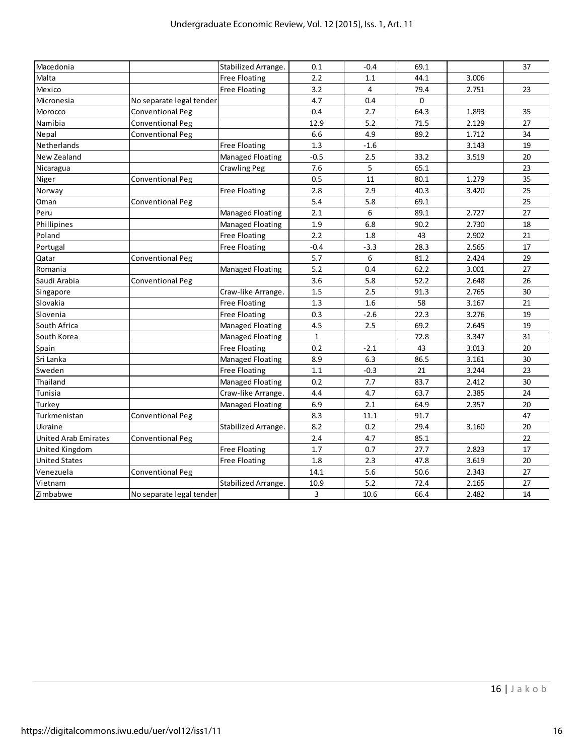| Macedonia<br>Malta    |                          | Stabilized Arrange.     | 0.1          | $-0.4$  | 69.1 |       | 37 |
|-----------------------|--------------------------|-------------------------|--------------|---------|------|-------|----|
|                       |                          | <b>Free Floating</b>    | 2.2          | 1.1     | 44.1 | 3.006 |    |
| Mexico                |                          | <b>Free Floating</b>    | 3.2          | 4       | 79.4 | 2.751 | 23 |
| Micronesia            | No separate legal tender |                         | 4.7          | 0.4     | 0    |       |    |
| Morocco               | <b>Conventional Peg</b>  |                         | 0.4          | 2.7     | 64.3 | 1.893 | 35 |
| Namibia               | <b>Conventional Peg</b>  |                         | 12.9         | 5.2     | 71.5 | 2.129 | 27 |
| Nepal                 | <b>Conventional Peg</b>  |                         | 6.6          | 4.9     | 89.2 | 1.712 | 34 |
| Netherlands           |                          | <b>Free Floating</b>    | 1.3          | $-1.6$  |      | 3.143 | 19 |
| New Zealand           |                          | <b>Managed Floating</b> | $-0.5$       | 2.5     | 33.2 | 3.519 | 20 |
| Nicaragua             |                          | <b>Crawling Peg</b>     | 7.6          | 5       | 65.1 |       | 23 |
| Niger                 | <b>Conventional Peg</b>  |                         | 0.5          | 11      | 80.1 | 1.279 | 35 |
| Norway                |                          | <b>Free Floating</b>    | 2.8          | 2.9     | 40.3 | 3.420 | 25 |
| Oman                  | <b>Conventional Peg</b>  |                         | 5.4          | 5.8     | 69.1 |       | 25 |
| Peru                  |                          | <b>Managed Floating</b> | 2.1          | 6       | 89.1 | 2.727 | 27 |
| Phillipines           |                          | <b>Managed Floating</b> | 1.9          | 6.8     | 90.2 | 2.730 | 18 |
| Poland                |                          | <b>Free Floating</b>    | 2.2          | 1.8     | 43   | 2.902 | 21 |
| Portugal              |                          | <b>Free Floating</b>    | $-0.4$       | $-3.3$  | 28.3 | 2.565 | 17 |
| Qatar                 | <b>Conventional Peg</b>  |                         | 5.7          | 6       | 81.2 | 2.424 | 29 |
| Romania               |                          | <b>Managed Floating</b> | 5.2          | 0.4     | 62.2 | 3.001 | 27 |
| Saudi Arabia          | <b>Conventional Peg</b>  |                         | 3.6          | 5.8     | 52.2 | 2.648 | 26 |
| Singapore             |                          | Craw-like Arrange.      | 1.5          | 2.5     | 91.3 | 2.765 | 30 |
| Slovakia              |                          | <b>Free Floating</b>    | 1.3          | 1.6     | 58   | 3.167 | 21 |
| Slovenia              |                          | <b>Free Floating</b>    | 0.3          | $-2.6$  | 22.3 | 3.276 | 19 |
| South Africa          |                          | Managed Floating        | 4.5          | 2.5     | 69.2 | 2.645 | 19 |
| South Korea           |                          | Managed Floating        | 1            |         | 72.8 | 3.347 | 31 |
| Spain                 |                          | <b>Free Floating</b>    | 0.2          | $-2.1$  | 43   | 3.013 | 20 |
| Sri Lanka             |                          | Managed Floating        | 8.9          | 6.3     | 86.5 | 3.161 | 30 |
| Sweden                |                          | <b>Free Floating</b>    | 1.1          | $-0.3$  | 21   | 3.244 | 23 |
| Thailand              |                          | Managed Floating        | 0.2          | 7.7     | 83.7 | 2.412 | 30 |
| Tunisia               |                          | Craw-like Arrange.      | 4.4          | 4.7     | 63.7 | 2.385 | 24 |
| Turkey                |                          | Managed Floating        | 6.9          | 2.1     | 64.9 | 2.357 | 20 |
| Turkmenistan          | <b>Conventional Peg</b>  |                         | 8.3          | 11.1    | 91.7 |       | 47 |
| Ukraine               |                          | Stabilized Arrange.     | 8.2          | 0.2     | 29.4 | 3.160 | 20 |
| United Arab Emirates  | Conventional Peg         |                         | $2.4\,$      | 4.7     | 85.1 |       | 22 |
| <b>United Kingdom</b> |                          | <b>Free Floating</b>    | 1.7          | 0.7     | 27.7 | 2.823 | 17 |
| <b>United States</b>  |                          | <b>Free Floating</b>    | 1.8          | 2.3     | 47.8 | 3.619 | 20 |
| Venezuela             | <b>Conventional Peg</b>  |                         | 14.1         | $5.6\,$ | 50.6 | 2.343 | 27 |
| Vietnam               |                          | Stabilized Arrange.     | 10.9         | $5.2$   | 72.4 | 2.165 | 27 |
| Zimbabwe              | No separate legal tender |                         | $\mathbf{3}$ | 10.6    | 66.4 | 2.482 | 14 |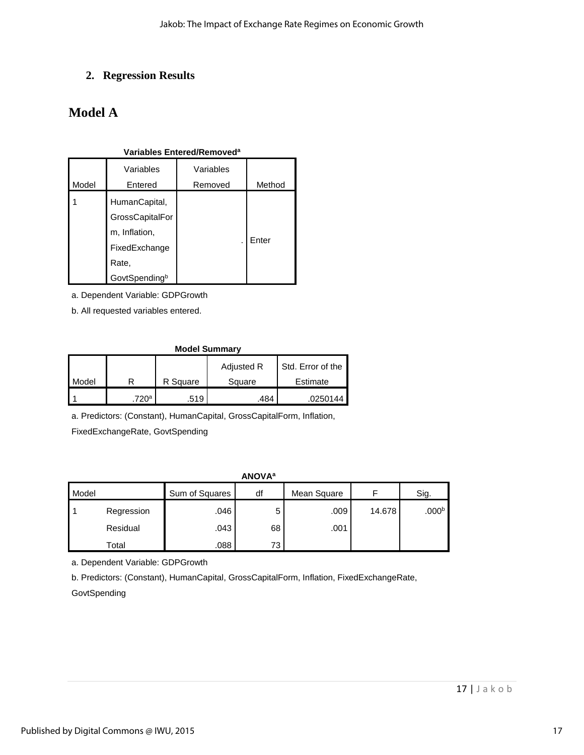## **2. Regression Results**

# **Model A**

### **Variables Entered/Removed<sup>a</sup>**

| Model | Variables<br>Entered                                                                         | Variables<br>Removed | Method |
|-------|----------------------------------------------------------------------------------------------|----------------------|--------|
|       | HumanCapital,<br>GrossCapitalFor<br>m, Inflation,<br>FixedExchange<br>Rate,<br>GovtSpendingb |                      | Enter  |

a. Dependent Variable: GDPGrowth

b. All requested variables entered.

#### **Model Summary**

|              |       |          | Adjusted R | Std. Error of the |
|--------------|-------|----------|------------|-------------------|
| <b>Model</b> |       | R Square | Square     | Estimate          |
|              | 720ª. | .519     | 484        | 0250144           |

a. Predictors: (Constant), HumanCapital, GrossCapitalForm, Inflation,

FixedExchangeRate, GovtSpending

**ANOVA<sup>a</sup>**

| Model |            | Sum of Squares | df | Mean Square |        | Sig.              |
|-------|------------|----------------|----|-------------|--------|-------------------|
|       | Regression | .046           | 5  | .009        | 14.678 | .000 <sup>b</sup> |
|       | Residual   | .043           | 68 | .001        |        |                   |
|       | Total      | .088           | 73 |             |        |                   |

a. Dependent Variable: GDPGrowth

b. Predictors: (Constant), HumanCapital, GrossCapitalForm, Inflation, FixedExchangeRate,

GovtSpending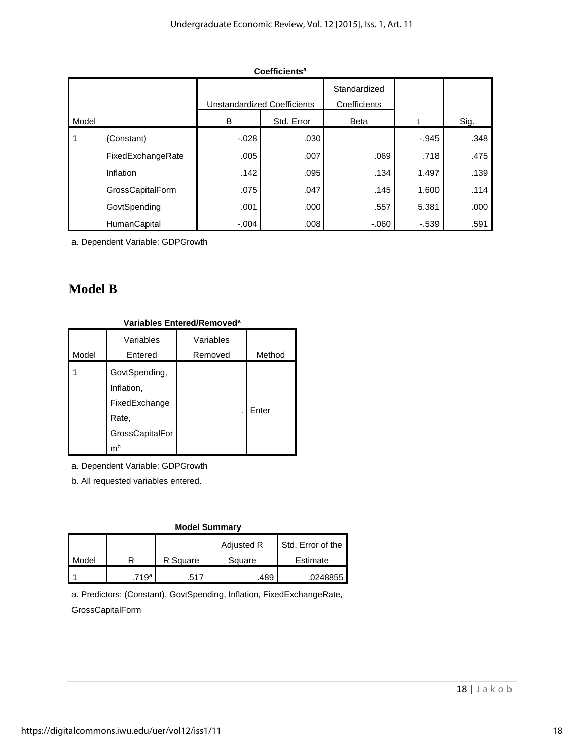|       |                   | <b>Unstandardized Coefficients</b> |            | Standardized<br>Coefficients |          |      |
|-------|-------------------|------------------------------------|------------|------------------------------|----------|------|
| Model |                   | в                                  | Std. Error | <b>Beta</b>                  |          | Sig. |
| 1     | (Constant)        | $-.028$                            | .030       |                              | $-0.945$ | .348 |
|       | FixedExchangeRate | .005                               | .007       | .069                         | .718     | .475 |
|       | Inflation         | .142                               | .095       | .134                         | 1.497    | .139 |
|       | GrossCapitalForm  | .075                               | .047       | .145                         | 1.600    | .114 |
|       | GovtSpending      | .001                               | .000       | .557                         | 5.381    | .000 |
|       | HumanCapital      | $-.004$                            | .008       | $-060$                       | $-539$   | .591 |

**Coefficients<sup>a</sup>**

a. Dependent Variable: GDPGrowth

# **Model B**

| variables Entered/Removedª |                                                                                |           |        |  |  |  |  |
|----------------------------|--------------------------------------------------------------------------------|-----------|--------|--|--|--|--|
|                            | Variables                                                                      | Variables |        |  |  |  |  |
| Model                      | Entered                                                                        | Removed   | Method |  |  |  |  |
|                            | GovtSpending,<br>Inflation,<br>FixedExchange<br>Rate,<br>GrossCapitalFor<br>mb |           | Enter  |  |  |  |  |

## **Variables Entered/Removed<sup>a</sup>**

a. Dependent Variable: GDPGrowth

b. All requested variables entered.

| <b>Model Summary</b> |      |          |            |                   |  |  |  |  |  |
|----------------------|------|----------|------------|-------------------|--|--|--|--|--|
|                      |      |          | Adjusted R | Std. Error of the |  |  |  |  |  |
| Model                |      | R Square | Square     | Estimate          |  |  |  |  |  |
|                      | 719ª | .517     | .489       | .0248855          |  |  |  |  |  |

a. Predictors: (Constant), GovtSpending, Inflation, FixedExchangeRate, GrossCapitalForm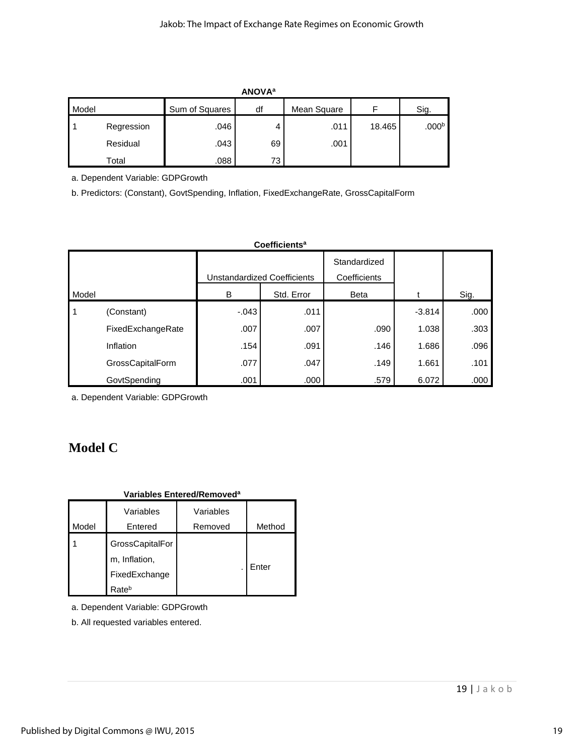|       | <b>ANOVA</b> <sup>a</sup> |                |    |             |        |                   |  |  |  |  |
|-------|---------------------------|----------------|----|-------------|--------|-------------------|--|--|--|--|
| Model |                           | Sum of Squares | df | Mean Square | F      | Sig.              |  |  |  |  |
|       | Regression                | .046           | 4  | .011        | 18.465 | .000 <sup>b</sup> |  |  |  |  |
|       | Residual                  | .043           | 69 | .001        |        |                   |  |  |  |  |
|       | Total                     | .088           | 73 |             |        |                   |  |  |  |  |

a. Dependent Variable: GDPGrowth

b. Predictors: (Constant), GovtSpending, Inflation, FixedExchangeRate, GrossCapitalForm

|       | Coefficients <sup>a</sup> |                             |            |                              |          |      |  |  |  |  |
|-------|---------------------------|-----------------------------|------------|------------------------------|----------|------|--|--|--|--|
|       |                           | Unstandardized Coefficients |            | Standardized<br>Coefficients |          |      |  |  |  |  |
| Model |                           | B                           | Std. Error | <b>Beta</b>                  |          | Sig. |  |  |  |  |
| 1     | (Constant)                | $-.043$                     | .011       |                              | $-3.814$ | .000 |  |  |  |  |
|       | FixedExchangeRate         | .007                        | .007       | .090                         | 1.038    | .303 |  |  |  |  |
|       | Inflation                 | .154                        | .091       | .146                         | 1.686    | .096 |  |  |  |  |
|       | GrossCapitalForm          | .077                        | .047       | .149                         | 1.661    | .101 |  |  |  |  |
|       | GovtSpending              | .001                        | .000       | .579                         | 6.072    | .000 |  |  |  |  |

a. Dependent Variable: GDPGrowth

# **Model C**

#### **Variables Entered/Removed<sup>a</sup>**

| Model | Variables<br>Entered                                       | Variables<br>Removed | Method |
|-------|------------------------------------------------------------|----------------------|--------|
|       | GrossCapitalFor<br>m, Inflation,<br>FixedExchange<br>Rateb |                      | Enter  |

a. Dependent Variable: GDPGrowth

b. All requested variables entered.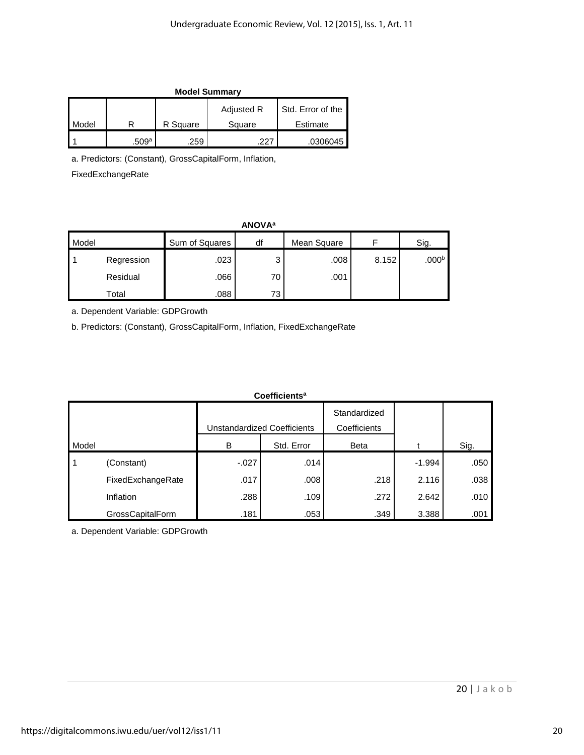| <b>Model Summary</b> |       |          |                   |                   |
|----------------------|-------|----------|-------------------|-------------------|
|                      |       |          | <b>Adjusted R</b> | Std. Error of the |
| Model                |       | R Square | Square            | Estimate          |
|                      | .509a | .259     | າາ:               | .0306045          |

a. Predictors: (Constant), GrossCapitalForm, Inflation,

FixedExchangeRate

| <b>ANOVA</b> <sup>a</sup> |            |                |    |             |       |                   |
|---------------------------|------------|----------------|----|-------------|-------|-------------------|
| Model                     |            | Sum of Squares | df | Mean Square |       | Sig.              |
|                           | Regression | .023           | 3  | .008        | 8.152 | .000 <sup>b</sup> |
|                           | Residual   | .066           | 70 | .001        |       |                   |
|                           | Total      | .088           | 73 |             |       |                   |

a. Dependent Variable: GDPGrowth

b. Predictors: (Constant), GrossCapitalForm, Inflation, FixedExchangeRate

| Coefficients <sup>a</sup> |                   |                             |            |              |          |      |
|---------------------------|-------------------|-----------------------------|------------|--------------|----------|------|
|                           |                   |                             |            | Standardized |          |      |
|                           |                   | Unstandardized Coefficients |            | Coefficients |          |      |
| Model                     |                   | B                           | Std. Error | <b>Beta</b>  |          | Sig. |
| 1                         | (Constant)        | $-.027$                     | .014       |              | $-1.994$ | .050 |
|                           | FixedExchangeRate | .017                        | .008       | .218         | 2.116    | .038 |
|                           | Inflation         | .288                        | .109       | .272         | 2.642    | .010 |
|                           | GrossCapitalForm  | .181                        | .053       | .349         | 3.388    | .001 |

a. Dependent Variable: GDPGrowth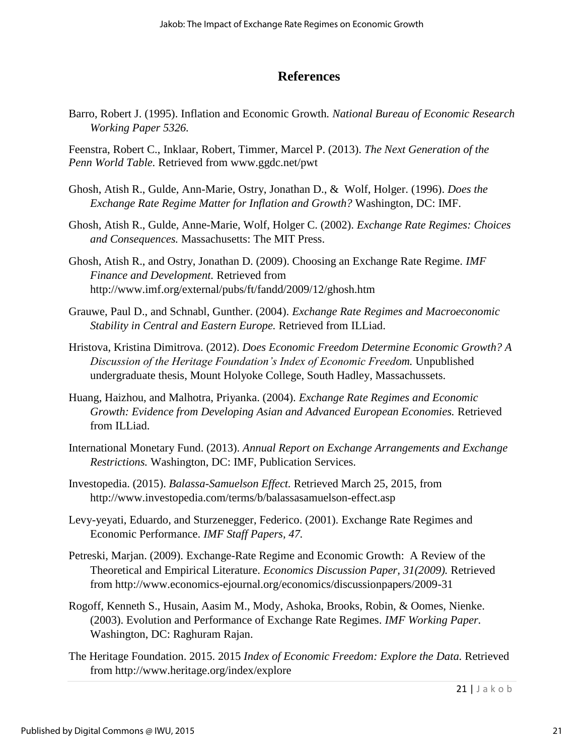## **References**

Barro, Robert J. (1995). Inflation and Economic Growth*. National Bureau of Economic Research Working Paper 5326.* 

Feenstra, Robert C., Inklaar, Robert, Timmer, Marcel P. (2013). *The Next Generation of the Penn World Table.* Retrieved from [www.ggdc.net/pwt](http://www.ggdc.net/pwt)

- Ghosh, Atish R., Gulde, Ann-Marie, Ostry, Jonathan D., & Wolf, Holger. (1996). *Does the Exchange Rate Regime Matter for Inflation and Growth?* Washington, DC: IMF.
- Ghosh, Atish R., Gulde, Anne-Marie, Wolf, Holger C. (2002). *Exchange Rate Regimes: Choices and Consequences.* Massachusetts: The MIT Press.
- Ghosh, Atish R., and Ostry, Jonathan D. (2009). Choosing an Exchange Rate Regime. *IMF Finance and Development.* Retrieved from <http://www.imf.org/external/pubs/ft/fandd/2009/12/ghosh.htm>
- Grauwe, Paul D., and Schnabl, Gunther. (2004). *Exchange Rate Regimes and Macroeconomic Stability in Central and Eastern Europe.* Retrieved from ILLiad.
- Hristova, Kristina Dimitrova. (2012). *Does Economic Freedom Determine Economic Growth? A Discussion of the Heritage Foundation's Index of Economic Freedom.* Unpublished undergraduate thesis, Mount Holyoke College, South Hadley, Massachussets.
- Huang, Haizhou, and Malhotra, Priyanka. (2004). *Exchange Rate Regimes and Economic Growth: Evidence from Developing Asian and Advanced European Economies.* Retrieved from ILLiad.
- International Monetary Fund. (2013). *Annual Report on Exchange Arrangements and Exchange Restrictions.* Washington, DC: IMF, Publication Services.
- Investopedia. (2015). *Balassa-Samuelson Effect.* Retrieved March 25, 2015, from http://www.investopedia.com/terms/b/balassasamuelson-effect.asp
- Levy-yeyati, Eduardo, and Sturzenegger, Federico. (2001). Exchange Rate Regimes and Economic Performance. *IMF Staff Papers, 47.*
- Petreski, Marjan. (2009). Exchange-Rate Regime and Economic Growth: A Review of the Theoretical and Empirical Literature. *Economics Discussion Paper, 31(2009).* Retrieved from http://www.economics-ejournal.org/economics/discussionpapers/2009-31
- Rogoff, Kenneth S., Husain, Aasim M., Mody, Ashoka, Brooks, Robin, & Oomes, Nienke. (2003). Evolution and Performance of Exchange Rate Regimes. *IMF Working Paper.*  Washington, DC: Raghuram Rajan.
- The Heritage Foundation. 2015. 2015 *Index of Economic Freedom: Explore the Data.* Retrieved from http://www.heritage.org/index/explore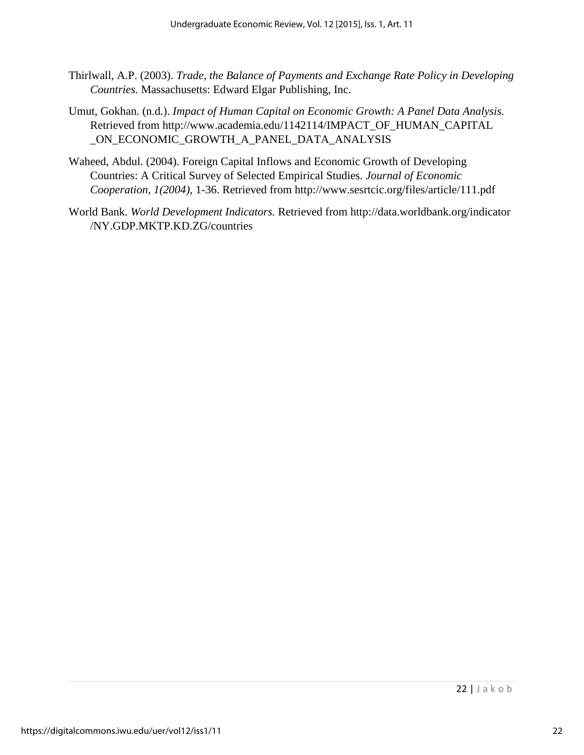- Thirlwall, A.P. (2003). *Trade, the Balance of Payments and Exchange Rate Policy in Developing Countries.* Massachusetts: Edward Elgar Publishing, Inc.
- Umut, Gokhan. (n.d.). *Impact of Human Capital on Economic Growth: A Panel Data Analysis.*  Retrieved from [http://www.academia.edu/1142114/IMPACT\\_OF\\_HUMAN\\_CAPITAL](http://www.academia.edu/1142114/IMPACT_OF_HUMAN_CAPITAL) \_ON\_ECONOMIC\_GROWTH\_A\_PANEL\_DATA\_ANALYSIS
- Waheed, Abdul. (2004). Foreign Capital Inflows and Economic Growth of Developing Countries: A Critical Survey of Selected Empirical Studies. *Journal of Economic Cooperation, 1(2004),* 1-36. Retrieved from http://www.sesrtcic.org/files/article/111.pdf
- World Bank. *World Development Indicators.* Retrieved from [http://data.worldbank.org/indicator](http://data.worldbank.org/indicator%20/NY.GDP.MKTP.KD.ZG/countries)  [/NY.GDP.MKTP.KD.ZG/countries](http://data.worldbank.org/indicator%20/NY.GDP.MKTP.KD.ZG/countries)